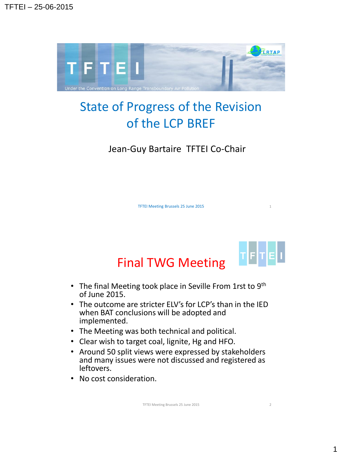

## State of Progress of the Revision of the LCP BREF

Jean-Guy Bartaire TFTEI Co-Chair

TFTEI Meeting Brussels 25 June 2015 1



## Final TWG Meeting

- The final Meeting took place in Seville From 1rst to  $9<sup>th</sup>$ of June 2015.
- The outcome are stricter ELV's for LCP's than in the IED when BAT conclusions will be adopted and implemented.
- The Meeting was both technical and political.
- Clear wish to target coal, lignite, Hg and HFO.
- Around 50 split views were expressed by stakeholders and many issues were not discussed and registered as leftovers.
- No cost consideration.